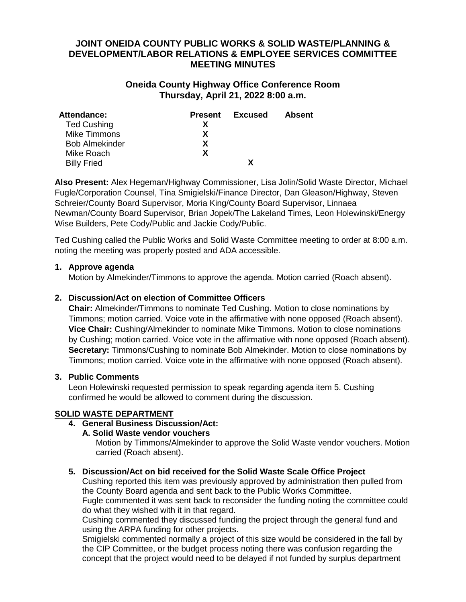## **JOINT ONEIDA COUNTY PUBLIC WORKS & SOLID WASTE/PLANNING & DEVELOPMENT/LABOR RELATIONS & EMPLOYEE SERVICES COMMITTEE MEETING MINUTES**

## **Oneida County Highway Office Conference Room Thursday, April 21, 2022 8:00 a.m.**

| Attendance:           | <b>Present</b> | Excused | <b>Absent</b> |
|-----------------------|----------------|---------|---------------|
| <b>Ted Cushing</b>    |                |         |               |
| <b>Mike Timmons</b>   | X              |         |               |
| <b>Bob Almekinder</b> | X              |         |               |
| Mike Roach            | X              |         |               |
| <b>Billy Fried</b>    |                | x       |               |

**Also Present:** Alex Hegeman/Highway Commissioner, Lisa Jolin/Solid Waste Director, Michael Fugle/Corporation Counsel, Tina Smigielski/Finance Director, Dan Gleason/Highway, Steven Schreier/County Board Supervisor, Moria King/County Board Supervisor, Linnaea Newman/County Board Supervisor, Brian Jopek/The Lakeland Times, Leon Holewinski/Energy Wise Builders, Pete Cody/Public and Jackie Cody/Public.

Ted Cushing called the Public Works and Solid Waste Committee meeting to order at 8:00 a.m. noting the meeting was properly posted and ADA accessible.

### **1. Approve agenda**

Motion by Almekinder/Timmons to approve the agenda. Motion carried (Roach absent).

### **2. Discussion/Act on election of Committee Officers**

**Chair:** Almekinder/Timmons to nominate Ted Cushing. Motion to close nominations by Timmons; motion carried. Voice vote in the affirmative with none opposed (Roach absent). **Vice Chair:** Cushing/Almekinder to nominate Mike Timmons. Motion to close nominations by Cushing; motion carried. Voice vote in the affirmative with none opposed (Roach absent). **Secretary:** Timmons/Cushing to nominate Bob Almekinder. Motion to close nominations by Timmons; motion carried. Voice vote in the affirmative with none opposed (Roach absent).

### **3. Public Comments**

Leon Holewinski requested permission to speak regarding agenda item 5. Cushing confirmed he would be allowed to comment during the discussion.

### **SOLID WASTE DEPARTMENT**

### **4. General Business Discussion/Act:**

### **A. Solid Waste vendor vouchers**

Motion by Timmons/Almekinder to approve the Solid Waste vendor vouchers. Motion carried (Roach absent).

### **5. Discussion/Act on bid received for the Solid Waste Scale Office Project**

Cushing reported this item was previously approved by administration then pulled from the County Board agenda and sent back to the Public Works Committee.

Fugle commented it was sent back to reconsider the funding noting the committee could do what they wished with it in that regard.

Cushing commented they discussed funding the project through the general fund and using the ARPA funding for other projects.

Smigielski commented normally a project of this size would be considered in the fall by the CIP Committee, or the budget process noting there was confusion regarding the concept that the project would need to be delayed if not funded by surplus department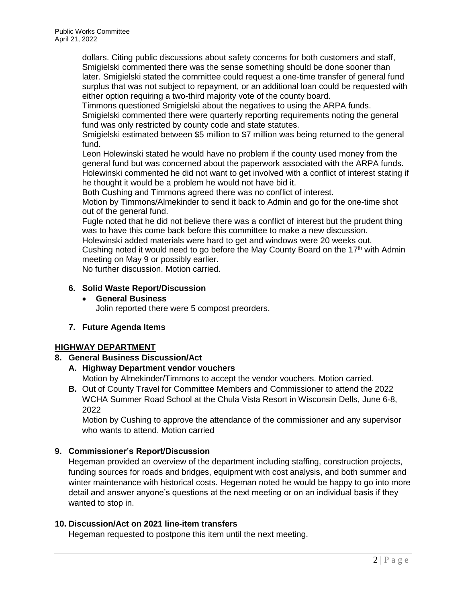dollars. Citing public discussions about safety concerns for both customers and staff, Smigielski commented there was the sense something should be done sooner than later. Smigielski stated the committee could request a one-time transfer of general fund surplus that was not subject to repayment, or an additional loan could be requested with either option requiring a two-third majority vote of the county board.

Timmons questioned Smigielski about the negatives to using the ARPA funds. Smigielski commented there were quarterly reporting requirements noting the general fund was only restricted by county code and state statutes.

Smigielski estimated between \$5 million to \$7 million was being returned to the general fund.

Leon Holewinski stated he would have no problem if the county used money from the general fund but was concerned about the paperwork associated with the ARPA funds. Holewinski commented he did not want to get involved with a conflict of interest stating if he thought it would be a problem he would not have bid it.

Both Cushing and Timmons agreed there was no conflict of interest.

Motion by Timmons/Almekinder to send it back to Admin and go for the one-time shot out of the general fund.

Fugle noted that he did not believe there was a conflict of interest but the prudent thing was to have this come back before this committee to make a new discussion.

Holewinski added materials were hard to get and windows were 20 weeks out.

Cushing noted it would need to go before the May County Board on the  $17<sup>th</sup>$  with Admin meeting on May 9 or possibly earlier.

No further discussion. Motion carried.

## **6. Solid Waste Report/Discussion**

 **General Business** Jolin reported there were 5 compost preorders.

## **7. Future Agenda Items**

### **HIGHWAY DEPARTMENT**

# **8. General Business Discussion/Act**

**A. Highway Department vendor vouchers**

Motion by Almekinder/Timmons to accept the vendor vouchers. Motion carried.

**B.** Out of County Travel for Committee Members and Commissioner to attend the 2022 WCHA Summer Road School at the Chula Vista Resort in Wisconsin Dells, June 6-8, 2022

Motion by Cushing to approve the attendance of the commissioner and any supervisor who wants to attend. Motion carried

## **9. Commissioner's Report/Discussion**

Hegeman provided an overview of the department including staffing, construction projects, funding sources for roads and bridges, equipment with cost analysis, and both summer and winter maintenance with historical costs. Hegeman noted he would be happy to go into more detail and answer anyone's questions at the next meeting or on an individual basis if they wanted to stop in.

## **10. Discussion/Act on 2021 line-item transfers**

Hegeman requested to postpone this item until the next meeting.